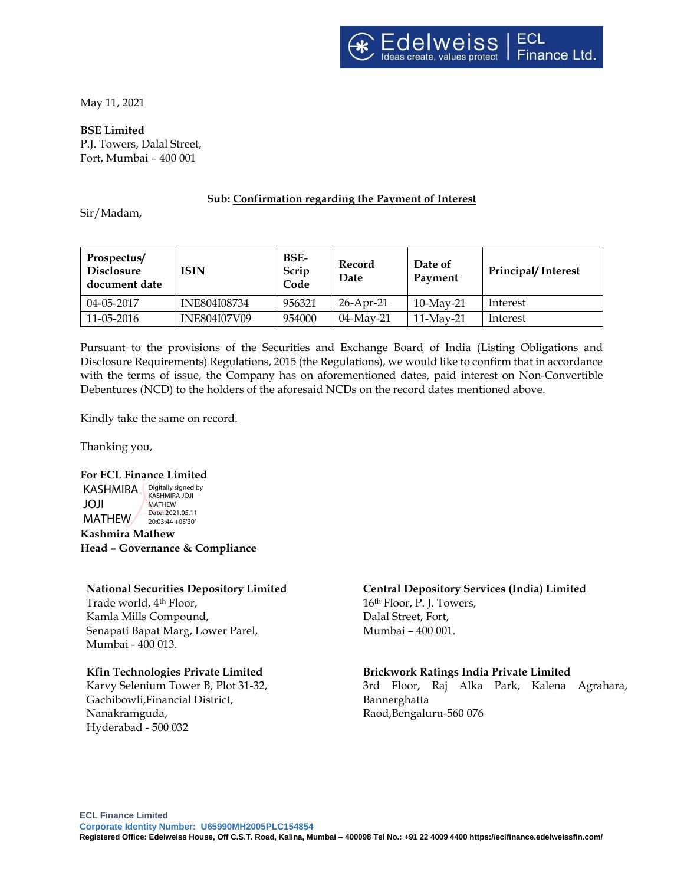May 11, 2021

**BSE Limited**

P.J. Towers, Dalal Street, Fort, Mumbai – 400 001

#### **Sub: Confirmation regarding the Payment of Interest**

Sir/Madam,

| Prospectus/<br><b>Disclosure</b><br>document date | ISIN                | BSE-<br>Scrip<br>Code | Record<br>Date | Date of<br>Payment | <b>Principal/Interest</b> |
|---------------------------------------------------|---------------------|-----------------------|----------------|--------------------|---------------------------|
| $04 - 05 - 2017$                                  | INE804I08734        | 956321                | 26-Apr-21      | $10$ -May-21       | Interest                  |
| 11-05-2016                                        | <b>INE804I07V09</b> | 954000                | $04$ -May-21   | $11$ -May-21       | Interest                  |

Pursuant to the provisions of the Securities and Exchange Board of India (Listing Obligations and Disclosure Requirements) Regulations, 2015 (the Regulations), we would like to confirm that in accordance with the terms of issue, the Company has on aforementioned dates, paid interest on Non-Convertible Debentures (NCD) to the holders of the aforesaid NCDs on the record dates mentioned above.

Kindly take the same on record.

Thanking you,

## **For ECL Finance Limited**

KASHMIRA **Digitally signed by** JOJI MATHEW/ KASHMIRA JOJI MATHEW Date: 2021.05.11 20:03:44 +05'30'

**Kashmira Mathew Head – Governance & Compliance**

# **National Securities Depository Limited**

Trade world, 4 th Floor, Kamla Mills Compound, Senapati Bapat Marg, Lower Parel, Mumbai - 400 013.

## **Kfin Technologies Private Limited**

Karvy Selenium Tower B, Plot 31-32, Gachibowli,Financial District, Nanakramguda, Hyderabad - 500 032

#### **Central Depository Services (India) Limited** 16th Floor, P. J. Towers, Dalal Street, Fort, Mumbai – 400 001.

## **Brickwork Ratings India Private Limited**

3rd Floor, Raj Alka Park, Kalena Agrahara, Bannerghatta Raod,Bengaluru-560 076